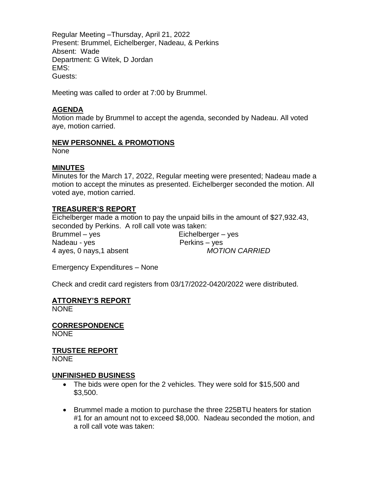Regular Meeting –Thursday, April 21, 2022 Present: Brummel, Eichelberger, Nadeau, & Perkins Absent: Wade Department: G Witek, D Jordan EMS: Guests:

Meeting was called to order at 7:00 by Brummel.

### **AGENDA**

Motion made by Brummel to accept the agenda, seconded by Nadeau. All voted aye, motion carried.

#### **NEW PERSONNEL & PROMOTIONS**

None

#### **MINUTES**

Minutes for the March 17, 2022, Regular meeting were presented; Nadeau made a motion to accept the minutes as presented. Eichelberger seconded the motion. All voted aye, motion carried.

### **TREASURER'S REPORT**

Eichelberger made a motion to pay the unpaid bills in the amount of \$27,932.43, seconded by Perkins. A roll call vote was taken:

Brummel – yes Eichelberger – yes Nadeau - yes Perkins – yes

4 ayes, 0 nays,1 absent *MOTION CARRIED*

Emergency Expenditures – None

Check and credit card registers from 03/17/2022-0420/2022 were distributed.

## **ATTORNEY'S REPORT**

NONE

**CORRESPONDENCE NONE** 

# **TRUSTEE REPORT**

NONE

### **UNFINISHED BUSINESS**

- The bids were open for the 2 vehicles. They were sold for \$15,500 and \$3,500.
- Brummel made a motion to purchase the three 225BTU heaters for station #1 for an amount not to exceed \$8,000. Nadeau seconded the motion, and a roll call vote was taken: